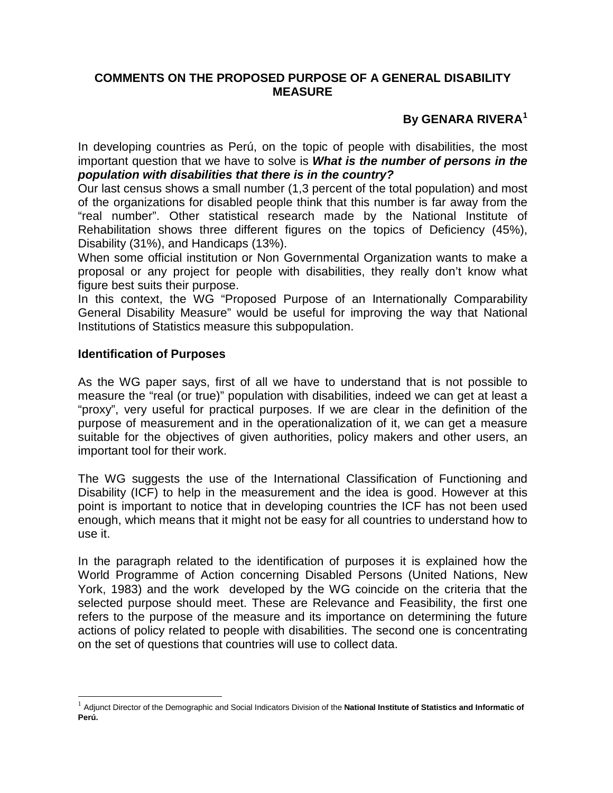## <span id="page-0-0"></span>**COMMENTS ON THE PROPOSED PURPOSE OF A GENERAL DISABILITY MEASURE**

## **By GENARA RIVERA[1](#page-0-0)**

In developing countries as Perú, on the topic of people with disabilities, the most important question that we have to solve is *What is the number of persons in the population with disabilities that there is in the country?*

Our last census shows a small number (1,3 percent of the total population) and most of the organizations for disabled people think that this number is far away from the "real number". Other statistical research made by the National Institute of Rehabilitation shows three different figures on the topics of Deficiency (45%), Disability (31%), and Handicaps (13%).

When some official institution or Non Governmental Organization wants to make a proposal or any project for people with disabilities, they really don't know what figure best suits their purpose.

In this context, the WG "Proposed Purpose of an Internationally Comparability General Disability Measure" would be useful for improving the way that National Institutions of Statistics measure this subpopulation.

## **Identification of Purposes**

As the WG paper says, first of all we have to understand that is not possible to measure the "real (or true)" population with disabilities, indeed we can get at least a "proxy", very useful for practical purposes. If we are clear in the definition of the purpose of measurement and in the operationalization of it, we can get a measure suitable for the objectives of given authorities, policy makers and other users, an important tool for their work.

The WG suggests the use of the International Classification of Functioning and Disability (ICF) to help in the measurement and the idea is good. However at this point is important to notice that in developing countries the ICF has not been used enough, which means that it might not be easy for all countries to understand how to use it.

In the paragraph related to the identification of purposes it is explained how the World Programme of Action concerning Disabled Persons (United Nations, New York, 1983) and the work developed by the WG coincide on the criteria that the selected purpose should meet. These are Relevance and Feasibility, the first one refers to the purpose of the measure and its importance on determining the future actions of policy related to people with disabilities. The second one is concentrating on the set of questions that countries will use to collect data.

 <sup>1</sup> Adjunct Director of the Demographic and Social Indicators Division of the **National Institute of Statistics and Informatic of Perú.**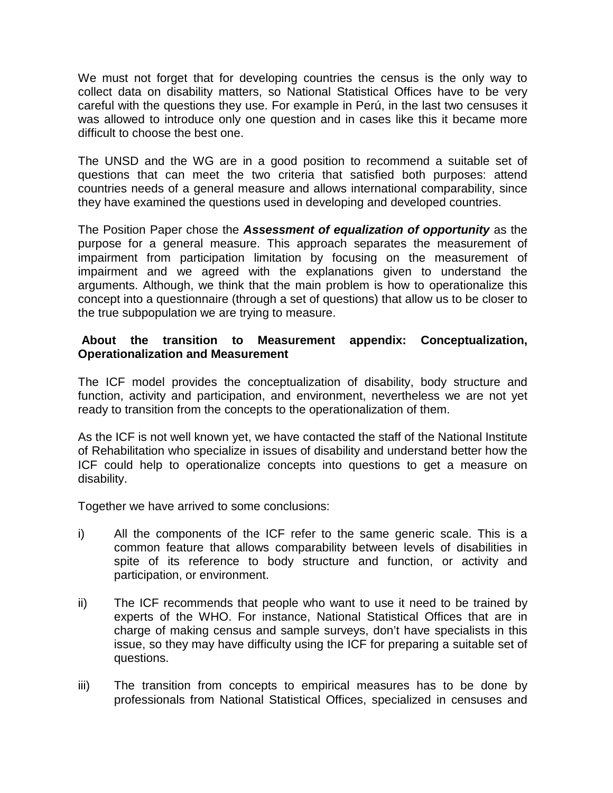We must not forget that for developing countries the census is the only way to collect data on disability matters, so National Statistical Offices have to be very careful with the questions they use. For example in Perú, in the last two censuses it was allowed to introduce only one question and in cases like this it became more difficult to choose the best one.

The UNSD and the WG are in a good position to recommend a suitable set of questions that can meet the two criteria that satisfied both purposes: attend countries needs of a general measure and allows international comparability, since they have examined the questions used in developing and developed countries.

The Position Paper chose the *Assessment of equalization of opportunity* as the purpose for a general measure. This approach separates the measurement of impairment from participation limitation by focusing on the measurement of impairment and we agreed with the explanations given to understand the arguments. Although, we think that the main problem is how to operationalize this concept into a questionnaire (through a set of questions) that allow us to be closer to the true subpopulation we are trying to measure.

## **About the transition to Measurement appendix: Conceptualization, Operationalization and Measurement**

The ICF model provides the conceptualization of disability, body structure and function, activity and participation, and environment, nevertheless we are not yet ready to transition from the concepts to the operationalization of them.

As the ICF is not well known yet, we have contacted the staff of the National Institute of Rehabilitation who specialize in issues of disability and understand better how the ICF could help to operationalize concepts into questions to get a measure on disability.

Together we have arrived to some conclusions:

- i) All the components of the ICF refer to the same generic scale. This is a common feature that allows comparability between levels of disabilities in spite of its reference to body structure and function, or activity and participation, or environment.
- ii) The ICF recommends that people who want to use it need to be trained by experts of the WHO. For instance, National Statistical Offices that are in charge of making census and sample surveys, don't have specialists in this issue, so they may have difficulty using the ICF for preparing a suitable set of questions.
- iii) The transition from concepts to empirical measures has to be done by professionals from National Statistical Offices, specialized in censuses and